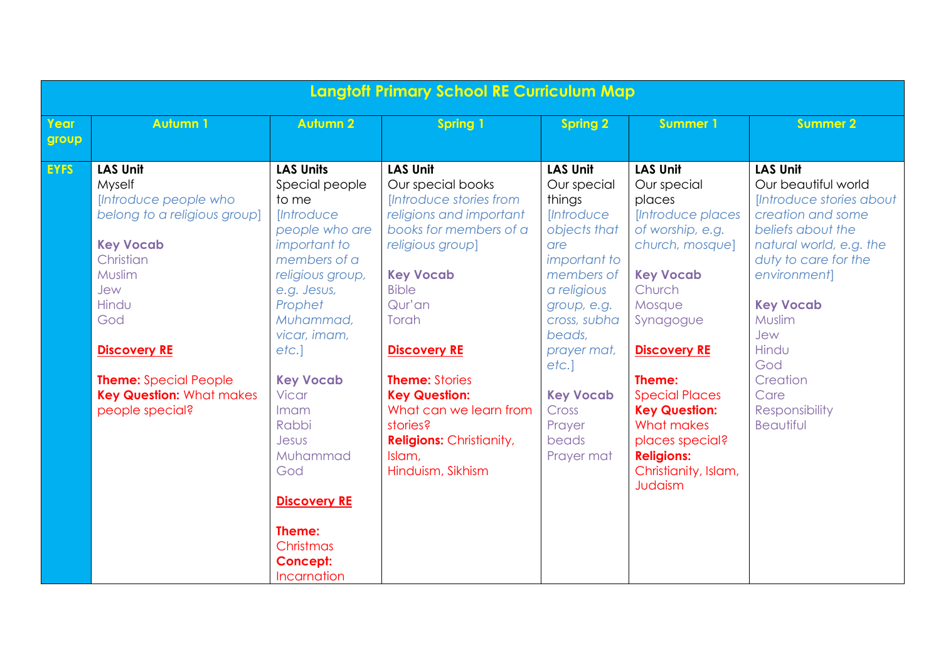|               | <b>Langtoff Primary School RE Curriculum Map</b>                                                                                                                                                                                                                  |                                                                                                                                                                                                                                                                                                                                                                                     |                                                                                                                                                                                                                                                                                                                                                                                 |                                                                                                                                                                                                                                                                               |                                                                                                                                                                                                                                                                                                                                      |                                                                                                                                                                                                                                                                                                |
|---------------|-------------------------------------------------------------------------------------------------------------------------------------------------------------------------------------------------------------------------------------------------------------------|-------------------------------------------------------------------------------------------------------------------------------------------------------------------------------------------------------------------------------------------------------------------------------------------------------------------------------------------------------------------------------------|---------------------------------------------------------------------------------------------------------------------------------------------------------------------------------------------------------------------------------------------------------------------------------------------------------------------------------------------------------------------------------|-------------------------------------------------------------------------------------------------------------------------------------------------------------------------------------------------------------------------------------------------------------------------------|--------------------------------------------------------------------------------------------------------------------------------------------------------------------------------------------------------------------------------------------------------------------------------------------------------------------------------------|------------------------------------------------------------------------------------------------------------------------------------------------------------------------------------------------------------------------------------------------------------------------------------------------|
| Year<br>group | <b>Autumn 1</b>                                                                                                                                                                                                                                                   | <b>Autumn 2</b>                                                                                                                                                                                                                                                                                                                                                                     | <b>Spring 1</b>                                                                                                                                                                                                                                                                                                                                                                 | <b>Spring 2</b>                                                                                                                                                                                                                                                               | <b>Summer 1</b>                                                                                                                                                                                                                                                                                                                      | <b>Summer 2</b>                                                                                                                                                                                                                                                                                |
| <b>EYFS</b>   | <b>LAS Unit</b><br>Myself<br>[Introduce people who<br>belong to a religious group]<br><b>Key Vocab</b><br>Christian<br>Muslim<br>Jew<br>Hindu<br>God<br><b>Discovery RE</b><br><b>Theme:</b> Special People<br><b>Key Question: What makes</b><br>people special? | <b>LAS Units</b><br>Special people<br>to me<br><i><u><b>Introduce</b></u></i><br>people who are<br>important to<br>members of a<br>religious group,<br>e.g. Jesus,<br>Prophet<br>Muhammad,<br>vicar, imam,<br>etc.<br><b>Key Vocab</b><br><b>Vicar</b><br>Imam<br>Rabbi<br>Jesus<br>Muhammad<br>God<br><b>Discovery RE</b><br>Theme:<br>Christmas<br><b>Concept:</b><br>Incarnation | <b>LAS Unit</b><br>Our special books<br>[Introduce stories from<br>religions and important<br>books for members of a<br>religious group]<br><b>Key Vocab</b><br><b>Bible</b><br>Qur'an<br>Torah<br><b>Discovery RE</b><br><b>Theme: Stories</b><br><b>Key Question:</b><br>What can we learn from<br>stories?<br><b>Religions: Christianity,</b><br>Islam,<br>Hinduism, Sikhism | <b>LAS Unit</b><br>Our special<br>things<br><i><b>Introduce</b></i><br>objects that<br>are<br>important to<br>members of<br>a religious<br>group, e.g.<br>cross, subha<br>beads,<br>prayer mat,<br>etc.]<br><b>Key Vocab</b><br><b>Cross</b><br>Prayer<br>beads<br>Prayer mat | <b>LAS Unit</b><br>Our special<br>places<br>[Introduce places<br>of worship, e.g.<br>church, mosque]<br><b>Key Vocab</b><br>Church<br>Mosque<br>Synagogue<br><b>Discovery RE</b><br>Theme:<br><b>Special Places</b><br><b>Key Question:</b><br>What makes<br>places special?<br><b>Religions:</b><br>Christianity, Islam,<br>Judaism | <b>LAS Unit</b><br>Our beautiful world<br>[Introduce stories about<br>creation and some<br>beliefs about the<br>natural world, e.g. the<br>duty to care for the<br>environment]<br><b>Key Vocab</b><br>Muslim<br>Jew<br>Hindu<br>God<br>Creation<br>Care<br>Responsibility<br><b>Beautiful</b> |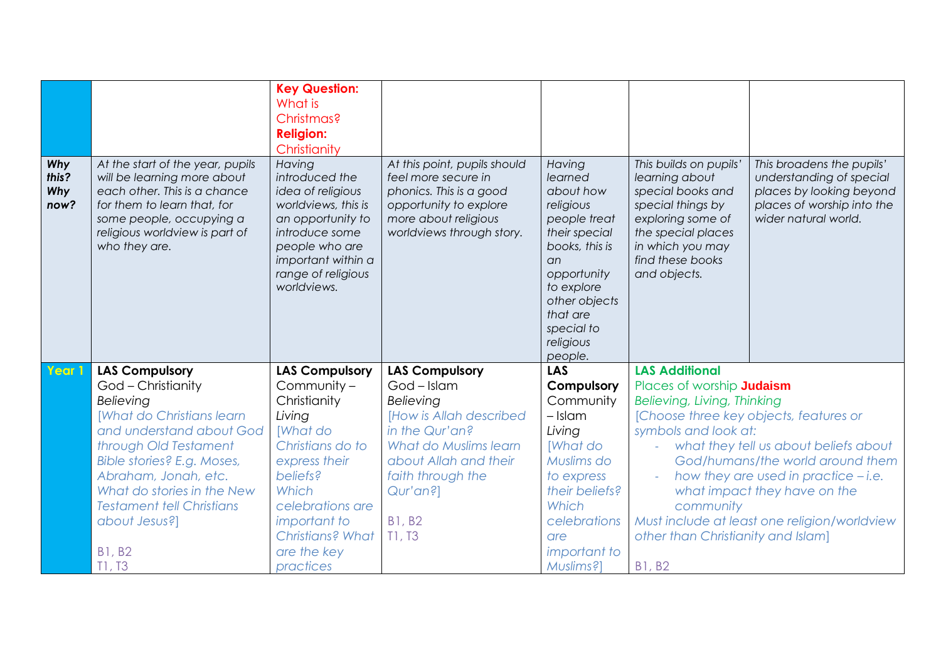|                                    |                                                                                                                                                                                                               | <b>Key Question:</b><br>What is<br>Christmas?<br><b>Religion:</b><br>Christianity                                                                                                        |                                                                                                                                                               |                                                                                                                                                                                                       |                                                                                                                                                                                       |                                                                                                                                         |
|------------------------------------|---------------------------------------------------------------------------------------------------------------------------------------------------------------------------------------------------------------|------------------------------------------------------------------------------------------------------------------------------------------------------------------------------------------|---------------------------------------------------------------------------------------------------------------------------------------------------------------|-------------------------------------------------------------------------------------------------------------------------------------------------------------------------------------------------------|---------------------------------------------------------------------------------------------------------------------------------------------------------------------------------------|-----------------------------------------------------------------------------------------------------------------------------------------|
| Why<br>this?<br><b>Why</b><br>now? | At the start of the year, pupils<br>will be learning more about<br>each other. This is a chance<br>for them to learn that, for<br>some people, occupying a<br>religious worldview is part of<br>who they are. | Having<br>introduced the<br>idea of religious<br>worldviews, this is<br>an opportunity to<br>introduce some<br>people who are<br>important within a<br>range of religious<br>worldviews. | At this point, pupils should<br>feel more secure in<br>phonics. This is a good<br>opportunity to explore<br>more about religious<br>worldviews through story. | Having<br>learned<br>about how<br>religious<br>people treat<br>their special<br>books, this is<br>an.<br>opportunity<br>to explore<br>other objects<br>that are<br>special to<br>religious<br>people. | This builds on pupils'<br>learning about<br>special books and<br>special things by<br>exploring some of<br>the special places<br>in which you may<br>find these books<br>and objects. | This broadens the pupils'<br>understanding of special<br>places by looking beyond<br>places of worship into the<br>wider natural world. |
| Year 1                             | <b>LAS Compulsory</b>                                                                                                                                                                                         | <b>LAS Compulsory</b>                                                                                                                                                                    | <b>LAS Compulsory</b>                                                                                                                                         | <b>LAS</b>                                                                                                                                                                                            | <b>LAS Additional</b>                                                                                                                                                                 |                                                                                                                                         |
|                                    | God - Christianity                                                                                                                                                                                            | Community -                                                                                                                                                                              | God - Islam                                                                                                                                                   | Compulsory                                                                                                                                                                                            | Places of worship <b>Judaism</b>                                                                                                                                                      |                                                                                                                                         |
|                                    | Believing                                                                                                                                                                                                     | Christianity                                                                                                                                                                             | Believing                                                                                                                                                     | Community                                                                                                                                                                                             | Believing, Living, Thinking                                                                                                                                                           |                                                                                                                                         |
|                                    | <b>[What do Christians learn</b>                                                                                                                                                                              | Living                                                                                                                                                                                   | <b>IHow is Allah described</b>                                                                                                                                | $-$ Islam                                                                                                                                                                                             | [Choose three key objects, features or                                                                                                                                                |                                                                                                                                         |
|                                    | and understand about God                                                                                                                                                                                      | [What do                                                                                                                                                                                 | in the Qur'an?                                                                                                                                                | Living                                                                                                                                                                                                | symbols and look at:                                                                                                                                                                  |                                                                                                                                         |
|                                    | through Old Testament                                                                                                                                                                                         | Christians do to                                                                                                                                                                         | <b>What do Muslims learn</b>                                                                                                                                  | <b>What do</b>                                                                                                                                                                                        |                                                                                                                                                                                       | what they tell us about beliefs about                                                                                                   |
|                                    | Bible stories? E.g. Moses,                                                                                                                                                                                    | express their                                                                                                                                                                            | about Allah and their                                                                                                                                         | Muslims do                                                                                                                                                                                            |                                                                                                                                                                                       | God/humans/the world around them                                                                                                        |
|                                    | Abraham, Jonah, etc.                                                                                                                                                                                          | beliefs?                                                                                                                                                                                 | faith through the                                                                                                                                             | to express                                                                                                                                                                                            |                                                                                                                                                                                       | how they are used in practice - i.e.                                                                                                    |
|                                    | What do stories in the New                                                                                                                                                                                    | Which                                                                                                                                                                                    | Qur'an?]                                                                                                                                                      | their beliefs?                                                                                                                                                                                        |                                                                                                                                                                                       | what impact they have on the                                                                                                            |
|                                    | <b>Testament tell Christians</b>                                                                                                                                                                              | celebrations are                                                                                                                                                                         |                                                                                                                                                               | Which                                                                                                                                                                                                 | community                                                                                                                                                                             |                                                                                                                                         |
|                                    | about Jesus?]                                                                                                                                                                                                 | important to                                                                                                                                                                             | <b>B1, B2</b>                                                                                                                                                 | celebrations                                                                                                                                                                                          |                                                                                                                                                                                       | Must include at least one religion/worldview                                                                                            |
|                                    |                                                                                                                                                                                                               | Christians? What                                                                                                                                                                         | T1, T3                                                                                                                                                        | are                                                                                                                                                                                                   | other than Christianity and Islam]                                                                                                                                                    |                                                                                                                                         |
|                                    | <b>B1, B2</b>                                                                                                                                                                                                 | are the key                                                                                                                                                                              |                                                                                                                                                               | <i>important</i> to                                                                                                                                                                                   |                                                                                                                                                                                       |                                                                                                                                         |
|                                    | T1, T3                                                                                                                                                                                                        | practices                                                                                                                                                                                |                                                                                                                                                               | Muslims?]                                                                                                                                                                                             | <b>B1, B2</b>                                                                                                                                                                         |                                                                                                                                         |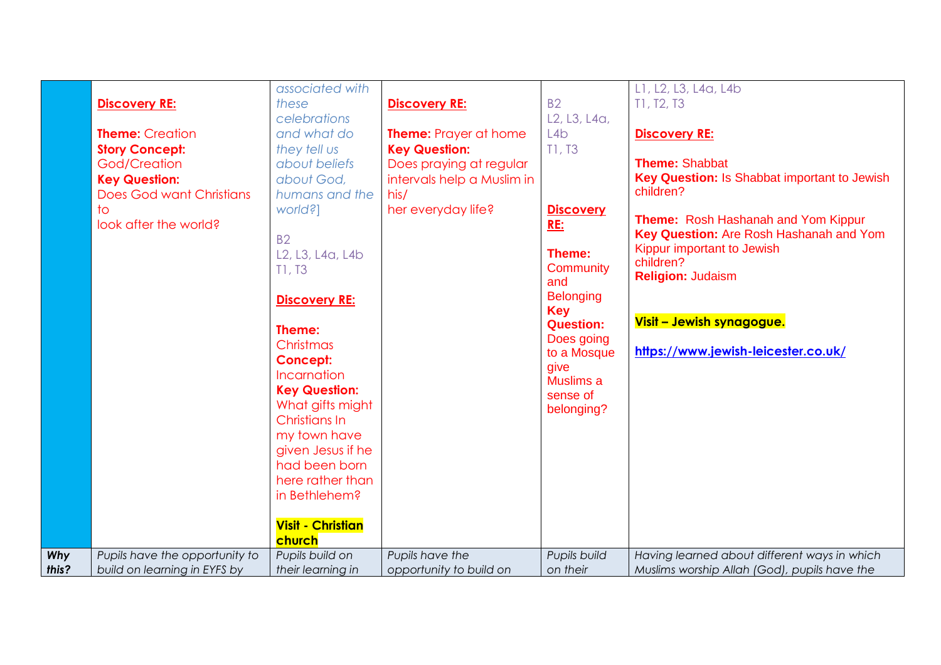| God/Creation<br><b>Key Question:</b><br>to | <b>Does God want Christians</b><br>look after the world? | humans and the<br>world?]<br><b>B2</b><br>L <sub>2</sub> , L <sub>3</sub> , L <sub>4a</sub> , L <sub>4b</sub><br>T1, T3<br><b>Discovery RE:</b><br>Theme:<br>Christmas<br><b>Concept:</b><br>Incarnation<br><b>Key Question:</b><br>What gifts might<br>Christians In<br>my town have<br>given Jesus if he<br>had been born<br>here rather than<br>in Bethlehem?<br><b>Visit - Christian</b><br>church | his/<br>her everyday life? | <b>Discovery</b><br><b>RE:</b><br>Theme:<br>Community<br>and<br><b>Belonging</b><br><b>Key</b><br><b>Question:</b><br>Does going<br>to a Mosque<br>give<br>Muslims a<br>sense of<br>belonging? | Key Question: Is Shabbat important to Jewish<br>children?<br>Theme: Rosh Hashanah and Yom Kippur<br>Key Question: Are Rosh Hashanah and Yom<br>Kippur important to Jewish<br>children?<br><b>Religion: Judaism</b><br>Visit - Jewish synagogue.<br>https://www.jewish-leicester.co.uk/ |
|--------------------------------------------|----------------------------------------------------------|--------------------------------------------------------------------------------------------------------------------------------------------------------------------------------------------------------------------------------------------------------------------------------------------------------------------------------------------------------------------------------------------------------|----------------------------|------------------------------------------------------------------------------------------------------------------------------------------------------------------------------------------------|----------------------------------------------------------------------------------------------------------------------------------------------------------------------------------------------------------------------------------------------------------------------------------------|
| Why                                        | Pupils have the opportunity to                           | Pupils build on                                                                                                                                                                                                                                                                                                                                                                                        | Pupils have the            | Pupils build                                                                                                                                                                                   | Having learned about different ways in which                                                                                                                                                                                                                                           |
| this?                                      | build on learning in EYFS by                             | their learning in                                                                                                                                                                                                                                                                                                                                                                                      | opportunity to build on    | on their                                                                                                                                                                                       | Muslims worship Allah (God), pupils have the                                                                                                                                                                                                                                           |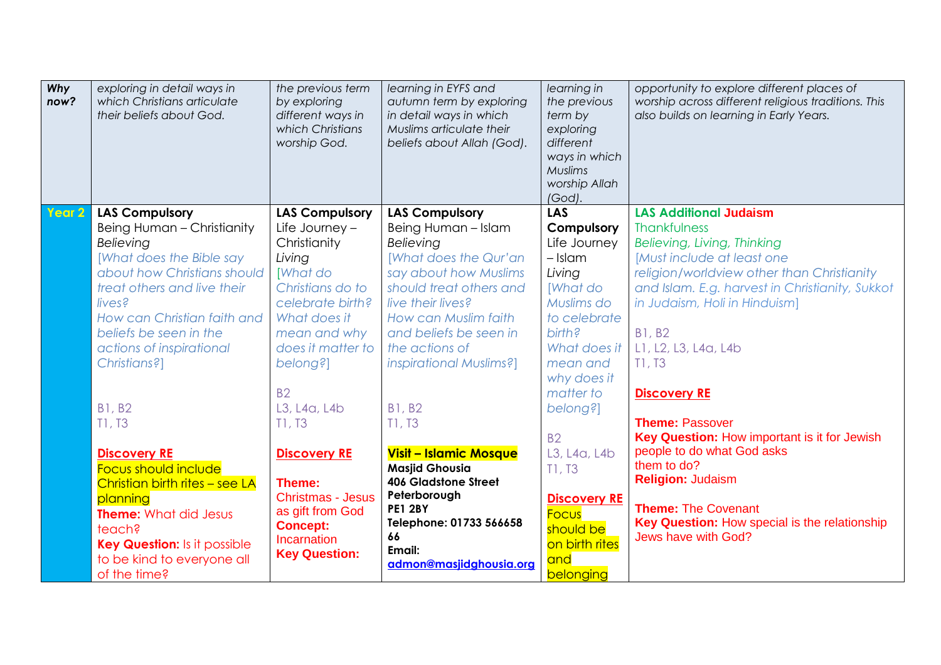| Why<br>now? | exploring in detail ways in<br>which Christians articulate<br>their beliefs about God.                                                                                                                                                                                    | the previous term<br>by exploring<br>different ways in<br>which Christians<br>worship God.                                                                                                     | learning in EYFS and<br>autumn term by exploring<br>in detail ways in which<br>Muslims articulate their<br>beliefs about Allah (God).                                                                                                                      | learning in<br>the previous<br>term by<br>exploring<br>different<br>ways in which<br><b>Muslims</b><br>worship Allah<br>(God).                                       | opportunity to explore different places of<br>worship across different religious traditions. This<br>also builds on learning in Early Years.                                                                                                                                                   |
|-------------|---------------------------------------------------------------------------------------------------------------------------------------------------------------------------------------------------------------------------------------------------------------------------|------------------------------------------------------------------------------------------------------------------------------------------------------------------------------------------------|------------------------------------------------------------------------------------------------------------------------------------------------------------------------------------------------------------------------------------------------------------|----------------------------------------------------------------------------------------------------------------------------------------------------------------------|------------------------------------------------------------------------------------------------------------------------------------------------------------------------------------------------------------------------------------------------------------------------------------------------|
| Year 2      | <b>LAS Compulsory</b><br>Being Human - Christianity<br>Believing<br>[What does the Bible say<br>about how Christians should<br>treat others and live their<br>lives?<br>How can Christian faith and<br>beliefs be seen in the<br>actions of inspirational<br>Christians?] | <b>LAS Compulsory</b><br>Life Journey $-$<br>Christianity<br>Living<br><b>What do</b><br>Christians do to<br>celebrate birth?<br>What does it<br>mean and why<br>does it matter to<br>belong?] | <b>LAS Compulsory</b><br>Being Human - Islam<br>Believing<br>[What does the Qur'an<br>say about how Muslims<br>should treat others and<br>live their lives?<br>How can Muslim faith<br>and beliefs be seen in<br>the actions of<br>inspirational Muslims?] | <b>LAS</b><br>Compulsory<br>Life Journey<br>$-$ Islam<br>Living<br><b>What do</b><br>Muslims do<br>to celebrate<br>birth?<br>What does it<br>mean and<br>why does it | <b>LAS Additional Judaism</b><br>Thankfulness<br>Believing, Living, Thinking<br>Must include at least one<br>religion/worldview other than Christianity<br>and Islam. E.g. harvest in Christianity, Sukkot<br>in Judaism, Holi in Hinduism]<br><b>B1, B2</b><br>L1, L2, L3, L4a, L4b<br>T1, T3 |
|             | <b>B1, B2</b><br>T1, T3<br><b>Discovery RE</b><br>Focus should include<br>Christian birth rites - see LA<br>planning<br><b>Theme:</b> What did Jesus<br>teach?<br><b>Key Question:</b> Is it possible<br>to be kind to everyone all<br>of the time?                       | <b>B2</b><br>L3, L4a, L4b<br>T1, T3<br><b>Discovery RE</b><br>Theme:<br><b>Christmas - Jesus</b><br>as gift from God<br><b>Concept:</b><br><b>Incarnation</b><br><b>Key Question:</b>          | <b>B1, B2</b><br>T1, T3<br><b>Visit - Islamic Mosque</b><br><b>Masjid Ghousia</b><br><b>406 Gladstone Street</b><br>Peterborough<br><b>PE1 2BY</b><br>Telephone: 01733 566658<br>66<br>Email:<br>admon@masjidghousia.org                                   | matter to<br>belong?]<br><b>B2</b><br>L3, L4a, L4b<br>T1, T3<br><b>Discovery RE</b><br><b>Focus</b><br>should be<br>on birth rites<br>and<br>belonging               | <b>Discovery RE</b><br><b>Theme: Passover</b><br>Key Question: How important is it for Jewish<br>people to do what God asks<br>them to do?<br><b>Religion: Judaism</b><br><b>Theme: The Covenant</b><br>Key Question: How special is the relationship<br>Jews have with God?                   |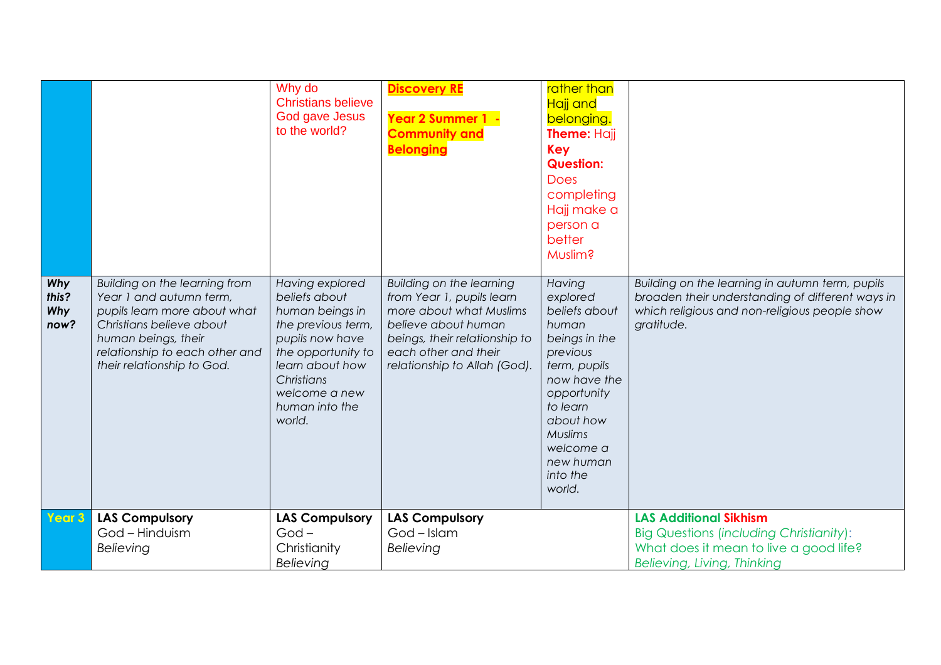|                             |                                                                                                                                                                                                             | Why do<br><b>Christians believe</b><br>God gave Jesus<br>to the world?                                                                                                                           | <b>Discovery RE</b><br>Year 2 Summer 1 -<br><b>Community and</b><br><b>Belonging</b>                                                                                                             | rather than<br>Hajj and<br>belonging.<br>Theme: Hajj<br><b>Key</b><br><b>Question:</b><br><b>Does</b><br>completing<br>Hajj make a<br>person a<br>better<br>Muslim?                                          |                                                                                                                                                                    |
|-----------------------------|-------------------------------------------------------------------------------------------------------------------------------------------------------------------------------------------------------------|--------------------------------------------------------------------------------------------------------------------------------------------------------------------------------------------------|--------------------------------------------------------------------------------------------------------------------------------------------------------------------------------------------------|--------------------------------------------------------------------------------------------------------------------------------------------------------------------------------------------------------------|--------------------------------------------------------------------------------------------------------------------------------------------------------------------|
| Why<br>this?<br>Why<br>now? | Building on the learning from<br>Year 1 and autumn term,<br>pupils learn more about what<br>Christians believe about<br>human beings, their<br>relationship to each other and<br>their relationship to God. | Having explored<br>beliefs about<br>human beings in<br>the previous term,<br>pupils now have<br>the opportunity to<br>learn about how<br>Christians<br>welcome a new<br>human into the<br>world. | Building on the learning<br>from Year 1, pupils learn<br>more about what Muslims<br>believe about human<br>beings, their relationship to<br>each other and their<br>relationship to Allah (God). | Having<br>explored<br>beliefs about<br>human<br>beings in the<br>previous<br>term, pupils<br>now have the<br>opportunity<br>to learn<br>about how<br>Muslims<br>welcome a<br>new human<br>into the<br>world. | Building on the learning in autumn term, pupils<br>broaden their understanding of different ways in<br>which religious and non-religious people show<br>gratitude. |
| Year 3                      | <b>LAS Compulsory</b><br>God - Hinduism<br>Believing                                                                                                                                                        | <b>LAS Compulsory</b><br>$God -$<br>Christianity<br>Believing                                                                                                                                    | <b>LAS Compulsory</b><br>God - Islam<br>Believing                                                                                                                                                |                                                                                                                                                                                                              | <b>LAS Additional Sikhism</b><br><b>Big Questions (including Christianity):</b><br>What does it mean to live a good life?<br>Believing, Living, Thinking           |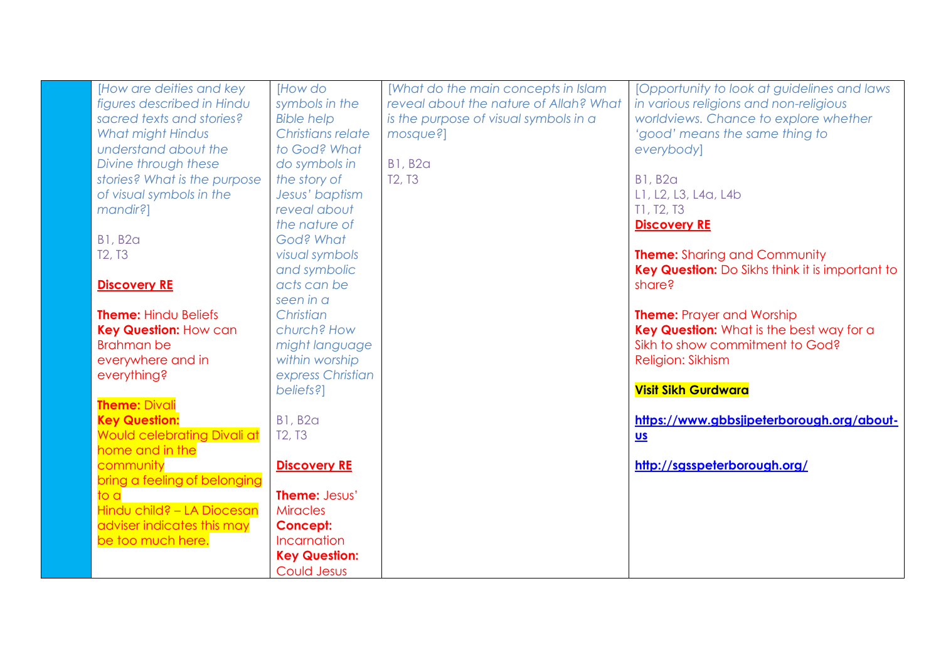| [How are deities and key           | [How do                         | [What do the main concepts in Islam    | [Opportunity to look at guidelines and laws     |
|------------------------------------|---------------------------------|----------------------------------------|-------------------------------------------------|
| figures described in Hindu         | symbols in the                  | reveal about the nature of Allah? What | in various religions and non-religious          |
| sacred texts and stories?          | <b>Bible help</b>               | is the purpose of visual symbols in a  | worldviews. Chance to explore whether           |
| What might Hindus                  | Christians relate               | mosque?]                               | 'good' means the same thing to                  |
| understand about the               | to God? What                    |                                        | everybody]                                      |
| Divine through these               | do symbols in                   | <b>B1, B2a</b>                         |                                                 |
| stories? What is the purpose       | the story of                    | T <sub>2</sub> , T <sub>3</sub>        | <b>B1, B2a</b>                                  |
| of visual symbols in the           | Jesus' baptism                  |                                        | L1, L2, L3, L4a, L4b                            |
| mandir?]                           | reveal about                    |                                        | T1, T2, T3                                      |
|                                    | the nature of                   |                                        | <b>Discovery RE</b>                             |
| <b>B1, B2a</b>                     | God? What                       |                                        |                                                 |
| T <sub>2</sub> , T <sub>3</sub>    | visual symbols                  |                                        | <b>Theme:</b> Sharing and Community             |
|                                    | and symbolic                    |                                        | Key Question: Do Sikhs think it is important to |
| <b>Discovery RE</b>                | acts can be                     |                                        | share?                                          |
|                                    | seen in a                       |                                        |                                                 |
| <b>Theme: Hindu Beliefs</b>        | Christian                       |                                        | <b>Theme:</b> Prayer and Worship                |
| <b>Key Question: How can</b>       | church? How                     |                                        | Key Question: What is the best way for a        |
| <b>Brahman be</b>                  | might language                  |                                        | Sikh to show commitment to God?                 |
| everywhere and in                  | within worship                  |                                        | Religion: Sikhism                               |
| everything?                        | express Christian               |                                        |                                                 |
|                                    | beliefs?]                       |                                        | <b>Visit Sikh Gurdwara</b>                      |
| <b>Theme: Divali</b>               |                                 |                                        |                                                 |
| <b>Key Question:</b>               | <b>B1, B2a</b>                  |                                        | https://www.gbbsjipeterborough.org/about-       |
| <b>Would celebrating Divali at</b> | T <sub>2</sub> , T <sub>3</sub> |                                        | $us$                                            |
| home and in the                    |                                 |                                        |                                                 |
| community                          | <b>Discovery RE</b>             |                                        | http://sgsspeterborough.org/                    |
| bring a feeling of belonging       |                                 |                                        |                                                 |
| to al                              | <b>Theme: Jesus'</b>            |                                        |                                                 |
| Hindu child? - LA Diocesan         | <b>Miracles</b>                 |                                        |                                                 |
| adviser indicates this may         | <b>Concept:</b>                 |                                        |                                                 |
| be too much here.                  | Incarnation                     |                                        |                                                 |
|                                    | <b>Key Question:</b>            |                                        |                                                 |
|                                    | Could Jesus                     |                                        |                                                 |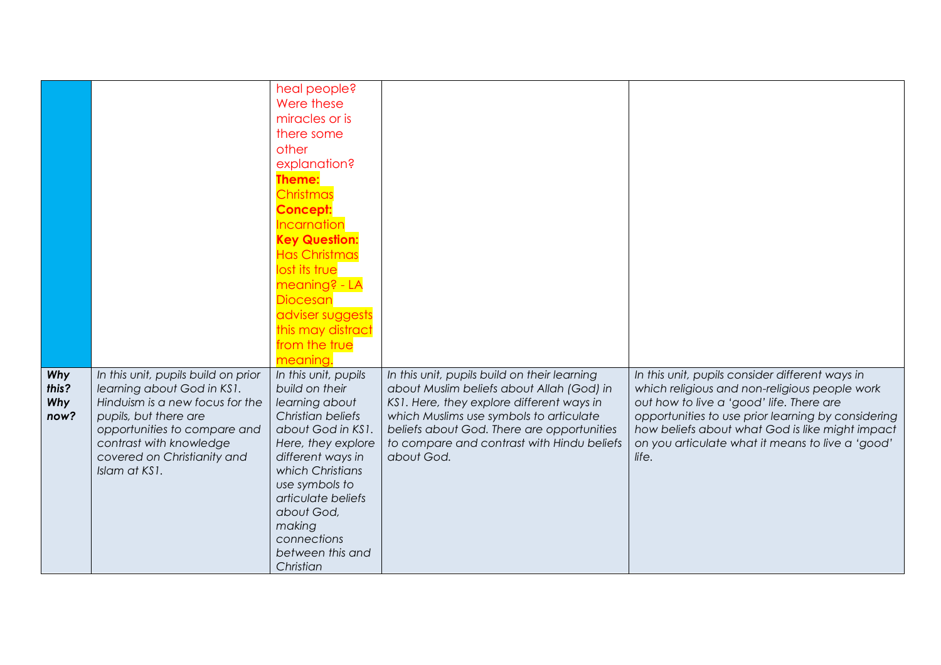|       |                                     | heal people?         |                                              |                                                    |
|-------|-------------------------------------|----------------------|----------------------------------------------|----------------------------------------------------|
|       |                                     | Were these           |                                              |                                                    |
|       |                                     |                      |                                              |                                                    |
|       |                                     | miracles or is       |                                              |                                                    |
|       |                                     | there some           |                                              |                                                    |
|       |                                     | other                |                                              |                                                    |
|       |                                     | explanation?         |                                              |                                                    |
|       |                                     | Theme:               |                                              |                                                    |
|       |                                     | Christmas            |                                              |                                                    |
|       |                                     | <b>Concept:</b>      |                                              |                                                    |
|       |                                     | Incarnation          |                                              |                                                    |
|       |                                     | <b>Key Question:</b> |                                              |                                                    |
|       |                                     | <b>Has Christmas</b> |                                              |                                                    |
|       |                                     | lost its true        |                                              |                                                    |
|       |                                     | meaning? - LA        |                                              |                                                    |
|       |                                     | <b>Diocesan</b>      |                                              |                                                    |
|       |                                     | adviser suggests     |                                              |                                                    |
|       |                                     | this may distract    |                                              |                                                    |
|       |                                     | from the true        |                                              |                                                    |
|       |                                     | meaning.             |                                              |                                                    |
| Why   | In this unit, pupils build on prior | In this unit, pupils | In this unit, pupils build on their learning | In this unit, pupils consider different ways in    |
| this? | learning about God in KS1.          | build on their       | about Muslim beliefs about Allah (God) in    | which religious and non-religious people work      |
| Why   | Hinduism is a new focus for the     | learning about       | KS1. Here, they explore different ways in    | out how to live a 'good' life. There are           |
| now?  | pupils, but there are               | Christian beliefs    | which Muslims use symbols to articulate      | opportunities to use prior learning by considering |
|       | opportunities to compare and        | about God in KS1.    | beliefs about God. There are opportunities   | how beliefs about what God is like might impact    |
|       | contrast with knowledge             | Here, they explore   | to compare and contrast with Hindu beliefs   | on you articulate what it means to live a 'good'   |
|       | covered on Christianity and         | different ways in    | about God.                                   | life.                                              |
|       | Islam at KS1.                       | which Christians     |                                              |                                                    |
|       |                                     | use symbols to       |                                              |                                                    |
|       |                                     | articulate beliefs   |                                              |                                                    |
|       |                                     | about God,           |                                              |                                                    |
|       |                                     | making               |                                              |                                                    |
|       |                                     | connections          |                                              |                                                    |
|       |                                     | between this and     |                                              |                                                    |
|       |                                     | Christian            |                                              |                                                    |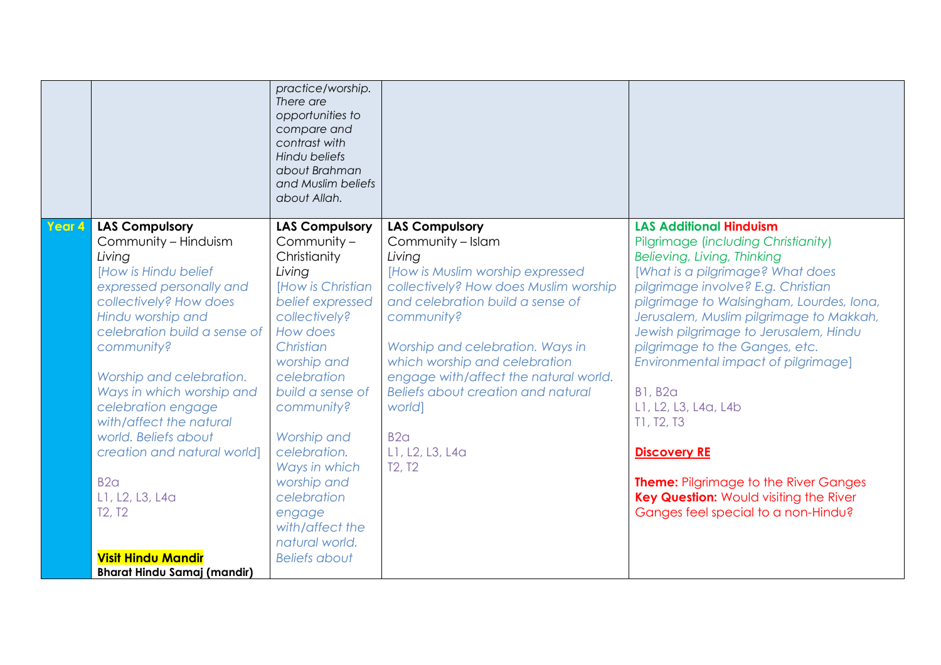|        |                                    | practice/worship.<br>There are<br>opportunities to<br>compare and<br>contrast with<br>Hindu beliefs<br>about Brahman<br>and Muslim beliefs<br>about Allah. |                                                                        |                                                                                        |
|--------|------------------------------------|------------------------------------------------------------------------------------------------------------------------------------------------------------|------------------------------------------------------------------------|----------------------------------------------------------------------------------------|
| Year 4 | <b>LAS Compulsory</b>              | <b>LAS Compulsory</b><br>Community -                                                                                                                       | <b>LAS Compulsory</b><br>Community - Islam                             | <b>LAS Additional Hinduism</b>                                                         |
|        | Community - Hinduism<br>Living     | Christianity                                                                                                                                               | Living                                                                 | <b>Pilgrimage (including Christianity)</b><br>Believing, Living, Thinking              |
|        | <b>IHow is Hindu belief</b>        | Living                                                                                                                                                     | [How is Muslim worship expressed                                       | [What is a pilgrimage? What does                                                       |
|        | expressed personally and           | <b>IHow is Christian</b>                                                                                                                                   | collectively? How does Muslim worship                                  | pilgrimage involve? E.g. Christian                                                     |
|        | collectively? How does             | belief expressed                                                                                                                                           | and celebration build a sense of                                       | pilgrimage to Walsingham, Lourdes, Iona,                                               |
|        | Hindu worship and                  | collectively?                                                                                                                                              | community?                                                             | Jerusalem, Muslim pilgrimage to Makkah,                                                |
|        | celebration build a sense of       | How does                                                                                                                                                   |                                                                        | Jewish pilgrimage to Jerusalem, Hindu                                                  |
|        | community?                         | Christian                                                                                                                                                  | Worship and celebration. Ways in                                       | pilgrimage to the Ganges, etc.                                                         |
|        | Worship and celebration.           | worship and<br>celebration                                                                                                                                 | which worship and celebration<br>engage with/affect the natural world. | Environmental impact of pilgrimage]                                                    |
|        | Ways in which worship and          | build a sense of                                                                                                                                           | Beliefs about creation and natural                                     | <b>B1, B2a</b>                                                                         |
|        | celebration engage                 | community?                                                                                                                                                 | world]                                                                 | L1, L2, L3, L4a, L4b                                                                   |
|        | with/affect the natural            |                                                                                                                                                            |                                                                        | T1, T2, T3                                                                             |
|        | world. Beliefs about               | Worship and                                                                                                                                                | B2 <sub>G</sub>                                                        |                                                                                        |
|        | creation and natural world]        | celebration.                                                                                                                                               | L1, L2, L3, L4a                                                        | <b>Discovery RE</b>                                                                    |
|        |                                    | Ways in which                                                                                                                                              | T <sub>2</sub> , T <sub>2</sub>                                        |                                                                                        |
|        | B2 <sub>q</sub><br>L1, L2, L3, L4a | worship and<br>celebration                                                                                                                                 |                                                                        | <b>Theme: Pilgrimage to the River Ganges</b><br>Key Question: Would visiting the River |
|        | T2, T2                             | engage                                                                                                                                                     |                                                                        | Ganges feel special to a non-Hindu?                                                    |
|        |                                    | with/affect the                                                                                                                                            |                                                                        |                                                                                        |
|        |                                    | natural world.                                                                                                                                             |                                                                        |                                                                                        |
|        | <b>Visit Hindu Mandir</b>          | <b>Beliefs about</b>                                                                                                                                       |                                                                        |                                                                                        |
|        | <b>Bharat Hindu Samaj (mandir)</b> |                                                                                                                                                            |                                                                        |                                                                                        |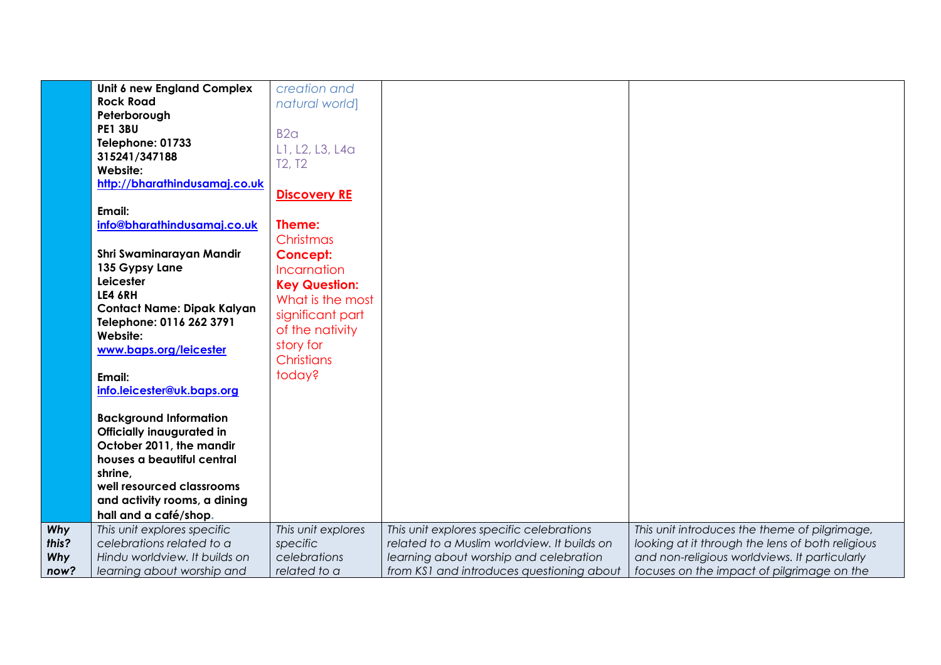|       | Unit 6 new England Complex        | creation and         |                                             |                                                  |
|-------|-----------------------------------|----------------------|---------------------------------------------|--------------------------------------------------|
|       | <b>Rock Road</b>                  | natural world]       |                                             |                                                  |
|       | Peterborough                      |                      |                                             |                                                  |
|       | <b>PE1 3BU</b>                    | B2 <sub>a</sub>      |                                             |                                                  |
|       | Telephone: 01733                  |                      |                                             |                                                  |
|       | 315241/347188                     | L1, L2, L3, L4a      |                                             |                                                  |
|       | Website:                          | <b>T2, T2</b>        |                                             |                                                  |
|       | http://bharathindusamaj.co.uk     |                      |                                             |                                                  |
|       |                                   | <b>Discovery RE</b>  |                                             |                                                  |
|       | Email:                            |                      |                                             |                                                  |
|       | info@bharathindusamaj.co.uk       | Theme:               |                                             |                                                  |
|       |                                   | Christmas            |                                             |                                                  |
|       | Shri Swaminarayan Mandir          | <b>Concept:</b>      |                                             |                                                  |
|       | 135 Gypsy Lane                    | Incarnation          |                                             |                                                  |
|       | Leicester                         |                      |                                             |                                                  |
|       | LE4 6RH                           | <b>Key Question:</b> |                                             |                                                  |
|       | <b>Contact Name: Dipak Kalyan</b> | What is the most     |                                             |                                                  |
|       | Telephone: 0116 262 3791          | significant part     |                                             |                                                  |
|       | Website:                          | of the nativity      |                                             |                                                  |
|       | www.baps.org/leicester            | story for            |                                             |                                                  |
|       |                                   | <b>Christians</b>    |                                             |                                                  |
|       | Email:                            | today?               |                                             |                                                  |
|       | info.leicester@uk.baps.org        |                      |                                             |                                                  |
|       |                                   |                      |                                             |                                                  |
|       | <b>Background Information</b>     |                      |                                             |                                                  |
|       | <b>Officially inaugurated in</b>  |                      |                                             |                                                  |
|       | October 2011, the mandir          |                      |                                             |                                                  |
|       | houses a beautiful central        |                      |                                             |                                                  |
|       | shrine,                           |                      |                                             |                                                  |
|       | well resourced classrooms         |                      |                                             |                                                  |
|       | and activity rooms, a dining      |                      |                                             |                                                  |
|       | hall and a café/shop.             |                      |                                             |                                                  |
| Why   | This unit explores specific       | This unit explores   | This unit explores specific celebrations    | This unit introduces the theme of pilgrimage,    |
| this? | celebrations related to a         | specific             | related to a Muslim worldview. It builds on | looking at it through the lens of both religious |
| Why   | Hindu worldview. It builds on     | celebrations         | learning about worship and celebration      | and non-religious worldviews. It particularly    |
| now?  | learning about worship and        | related to a         | from KS1 and introduces questioning about   | focuses on the impact of pilgrimage on the       |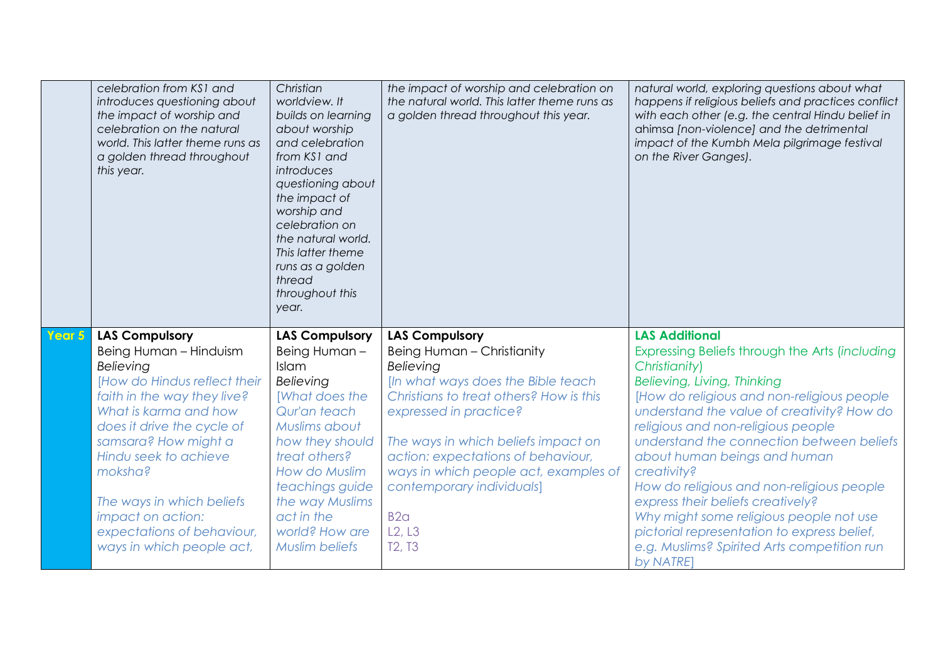|        | celebration from KS1 and<br>introduces questioning about<br>the impact of worship and<br>celebration on the natural<br>world. This latter theme runs as<br>a golden thread throughout<br>this year. | Christian<br>worldview. It<br>builds on learning<br>about worship<br>and celebration<br>from KS1 and<br>introduces<br>questioning about<br>the impact of<br>worship and<br>celebration on<br>the natural world.<br>This latter theme<br>runs as a golden<br>thread<br>throughout this<br>year. | the impact of worship and celebration on<br>the natural world. This latter theme runs as<br>a golden thread throughout this year. | natural world, exploring questions about what<br>happens if religious beliefs and practices conflict<br>with each other (e.g. the central Hindu belief in<br>ahimsa [non-violence] and the detrimental<br>impact of the Kumbh Mela pilgrimage festival<br>on the River Ganges). |
|--------|-----------------------------------------------------------------------------------------------------------------------------------------------------------------------------------------------------|------------------------------------------------------------------------------------------------------------------------------------------------------------------------------------------------------------------------------------------------------------------------------------------------|-----------------------------------------------------------------------------------------------------------------------------------|---------------------------------------------------------------------------------------------------------------------------------------------------------------------------------------------------------------------------------------------------------------------------------|
| Year 5 | <b>LAS Compulsory</b><br>Being Human - Hinduism                                                                                                                                                     | <b>LAS Compulsory</b><br>Being Human-                                                                                                                                                                                                                                                          | <b>LAS Compulsory</b><br>Being Human - Christianity                                                                               | <b>LAS Additional</b><br>Expressing Beliefs through the Arts (including                                                                                                                                                                                                         |
|        | Believing                                                                                                                                                                                           | Islam                                                                                                                                                                                                                                                                                          | Believing                                                                                                                         | Christianity)                                                                                                                                                                                                                                                                   |
|        | [How do Hindus reflect their                                                                                                                                                                        | Believing                                                                                                                                                                                                                                                                                      | [In what ways does the Bible teach                                                                                                | Believing, Living, Thinking                                                                                                                                                                                                                                                     |
|        |                                                                                                                                                                                                     |                                                                                                                                                                                                                                                                                                |                                                                                                                                   |                                                                                                                                                                                                                                                                                 |
|        | faith in the way they live?                                                                                                                                                                         | [What does the                                                                                                                                                                                                                                                                                 | Christians to treat others? How is this                                                                                           | [How do religious and non-religious people                                                                                                                                                                                                                                      |
|        | What is karma and how                                                                                                                                                                               | Qur'an teach                                                                                                                                                                                                                                                                                   | expressed in practice?                                                                                                            | understand the value of creativity? How do                                                                                                                                                                                                                                      |
|        | does it drive the cycle of                                                                                                                                                                          | Muslims about                                                                                                                                                                                                                                                                                  |                                                                                                                                   | religious and non-religious people                                                                                                                                                                                                                                              |
|        | samsara? How might a                                                                                                                                                                                | how they should                                                                                                                                                                                                                                                                                | The ways in which beliefs impact on                                                                                               | understand the connection between beliefs                                                                                                                                                                                                                                       |
|        | Hindu seek to achieve                                                                                                                                                                               | treat others?                                                                                                                                                                                                                                                                                  | action: expectations of behaviour,                                                                                                | about human beings and human                                                                                                                                                                                                                                                    |
|        | moksha?                                                                                                                                                                                             | How do Muslim                                                                                                                                                                                                                                                                                  | ways in which people act, examples of                                                                                             | creativity?                                                                                                                                                                                                                                                                     |
|        | The ways in which beliefs                                                                                                                                                                           | teachings guide<br>the way Muslims                                                                                                                                                                                                                                                             | contemporary individuals]                                                                                                         | How do religious and non-religious people<br>express their beliefs creatively?                                                                                                                                                                                                  |
|        | impact on action:                                                                                                                                                                                   | act in the                                                                                                                                                                                                                                                                                     | B2 <sub>a</sub>                                                                                                                   | Why might some religious people not use                                                                                                                                                                                                                                         |
|        | expectations of behaviour,                                                                                                                                                                          | world? How are                                                                                                                                                                                                                                                                                 | L2, L3                                                                                                                            | pictorial representation to express belief,                                                                                                                                                                                                                                     |
|        | ways in which people act,                                                                                                                                                                           | <b>Muslim beliefs</b>                                                                                                                                                                                                                                                                          | T <sub>2</sub> , T <sub>3</sub>                                                                                                   | e.g. Muslims? Spirited Arts competition run<br>by NATRE]                                                                                                                                                                                                                        |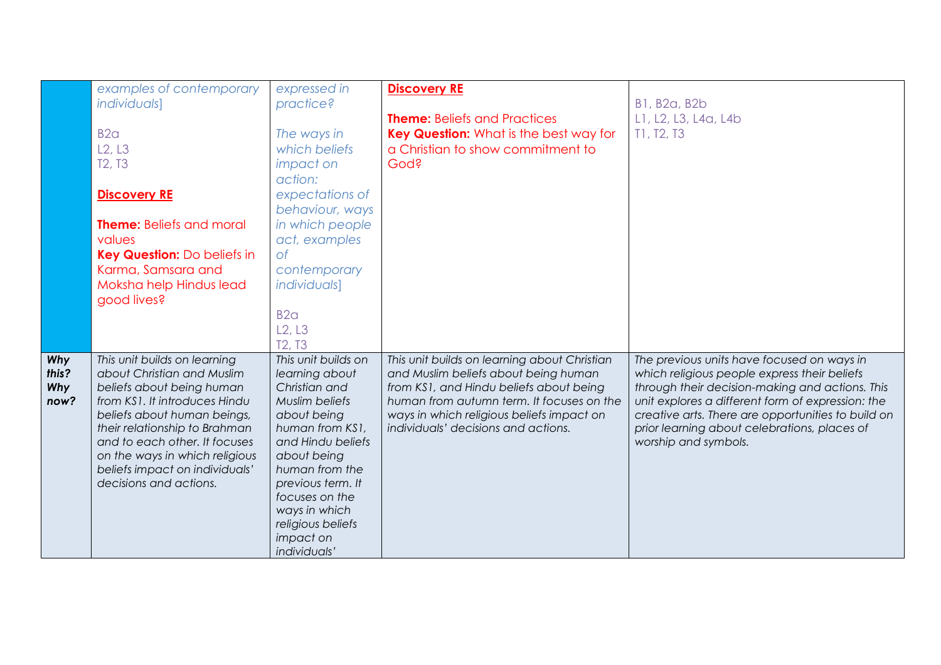|                                    | examples of contemporary<br><i>individuals]</i><br>B <sub>2</sub> a<br>L2, L3<br>T <sub>2</sub> , T <sub>3</sub><br><b>Discovery RE</b><br><b>Theme:</b> Beliefs and moral<br>values<br>Key Question: Do beliefs in<br>Karma, Samsara and<br>Moksha help Hindus lead<br>good lives?                                     | expressed in<br>practice?<br>The ways in<br>which beliefs<br><i>impact on</i><br>action:<br>expectations of<br>behaviour, ways<br>in which people<br>act, examples<br>$\circ$ f<br>contemporary<br><i>individuals]</i><br>B2 <sub>a</sub><br>L2, L3<br>T <sub>2</sub> , T <sub>3</sub> | <b>Discovery RE</b><br><b>Theme:</b> Beliefs and Practices<br>Key Question: What is the best way for<br>a Christian to show commitment to<br>God?                                                                                                                | <b>B1, B2a, B2b</b><br>L1, L2, L3, L4a, L4b<br>T1, T2, T3                                                                                                                                                                                                                                                                        |
|------------------------------------|-------------------------------------------------------------------------------------------------------------------------------------------------------------------------------------------------------------------------------------------------------------------------------------------------------------------------|----------------------------------------------------------------------------------------------------------------------------------------------------------------------------------------------------------------------------------------------------------------------------------------|------------------------------------------------------------------------------------------------------------------------------------------------------------------------------------------------------------------------------------------------------------------|----------------------------------------------------------------------------------------------------------------------------------------------------------------------------------------------------------------------------------------------------------------------------------------------------------------------------------|
| Why<br>this?<br><b>Why</b><br>now? | This unit builds on learning<br>about Christian and Muslim<br>beliefs about being human<br>from KS1. It introduces Hindu<br>beliefs about human beings,<br>their relationship to Brahman<br>and to each other. It focuses<br>on the ways in which religious<br>beliefs impact on individuals'<br>decisions and actions. | This unit builds on<br>learning about<br>Christian and<br>Muslim beliefs<br>about being<br>human from KS1,<br>and Hindu beliefs<br>about being<br>human from the<br>previous term. It<br>focuses on the<br>ways in which<br>religious beliefs<br>impact on<br>individuals'             | This unit builds on learning about Christian<br>and Muslim beliefs about being human<br>from KS1, and Hindu beliefs about being<br>human from autumn term. It focuses on the<br>ways in which religious beliefs impact on<br>individuals' decisions and actions. | The previous units have focused on ways in<br>which religious people express their beliefs<br>through their decision-making and actions. This<br>unit explores a different form of expression: the<br>creative arts. There are opportunities to build on<br>prior learning about celebrations, places of<br>worship and symbols. |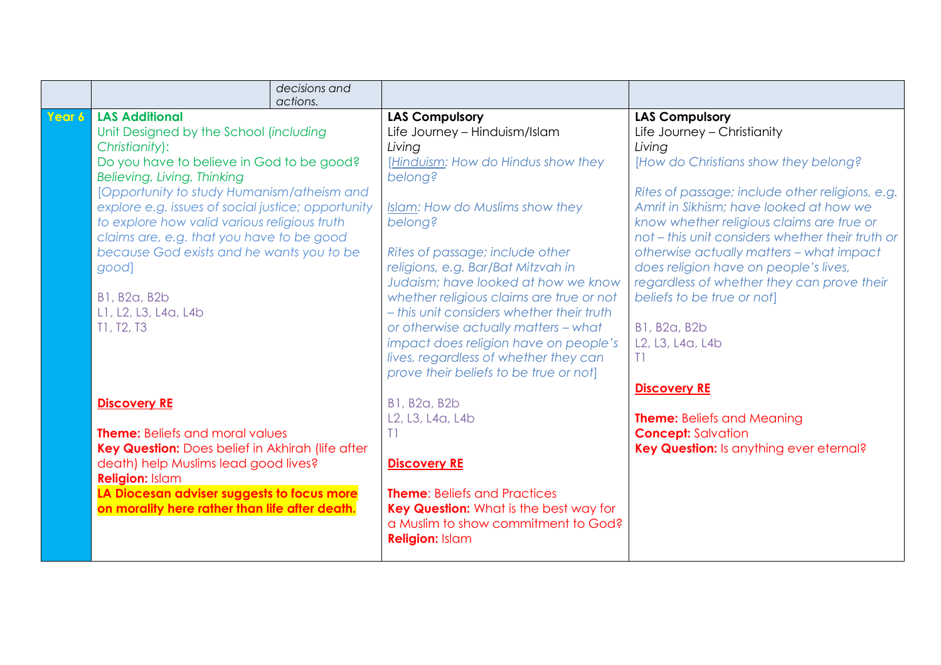|        |                                                                          | decisions and |                                                                     |                                                                      |
|--------|--------------------------------------------------------------------------|---------------|---------------------------------------------------------------------|----------------------------------------------------------------------|
|        |                                                                          | actions.      |                                                                     |                                                                      |
| Year 6 | <b>LAS Additional</b>                                                    |               | <b>LAS Compulsory</b>                                               | <b>LAS Compulsory</b>                                                |
|        | Unit Designed by the School (including                                   |               | Life Journey - Hinduism/Islam                                       | Life Journey - Christianity                                          |
|        | Christianity):                                                           |               | Living                                                              | Living                                                               |
|        | Do you have to believe in God to be good?<br>Believing, Living, Thinking |               | [Hinduism: How do Hindus show they<br>belong?                       | [How do Christians show they belong?                                 |
|        | [Opportunity to study Humanism/atheism and                               |               |                                                                     | Rites of passage; include other religions, e.g.                      |
|        | explore e.g. issues of social justice; opportunity                       |               | Islam: How do Muslims show they                                     | Amrit in Sikhism; have looked at how we                              |
|        | to explore how valid various religious truth                             |               | belong?                                                             | know whether religious claims are true or                            |
|        | claims are, e.g. that you have to be good                                |               |                                                                     | not - this unit considers whether their truth or                     |
|        | because God exists and he wants you to be                                |               | Rites of passage; include other                                     | otherwise actually matters - what impact                             |
|        | good]                                                                    |               | religions, e.g. Bar/Bat Mitzvah in                                  | does religion have on people's lives,                                |
|        |                                                                          |               | Judaism; have looked at how we know                                 | regardless of whether they can prove their                           |
|        | <b>B1, B2a, B2b</b>                                                      |               | whether religious claims are true or not                            | beliefs to be true or not]                                           |
|        | L1, L2, L3, L4a, L4b                                                     |               | - this unit considers whether their truth                           |                                                                      |
|        | T1, T2, T3                                                               |               | or otherwise actually matters - what                                | <b>B1, B2a, B2b</b>                                                  |
|        |                                                                          |               | impact does religion have on people's                               | L <sub>2</sub> , L <sub>3</sub> , L <sub>4</sub> a, L <sub>4</sub> b |
|        |                                                                          |               | lives, regardless of whether they can                               | T1                                                                   |
|        |                                                                          |               | prove their beliefs to be true or not]                              |                                                                      |
|        |                                                                          |               |                                                                     | <b>Discovery RE</b>                                                  |
|        | <b>Discovery RE</b>                                                      |               | <b>B1, B2a, B2b</b>                                                 |                                                                      |
|        |                                                                          |               | L <sub>2</sub> , L <sub>3</sub> , L <sub>4a</sub> , L <sub>4b</sub> | <b>Theme:</b> Beliefs and Meaning                                    |
|        | <b>Theme:</b> Beliefs and moral values                                   |               | T1                                                                  | <b>Concept: Salvation</b>                                            |
|        | Key Question: Does belief in Akhirah (life after                         |               |                                                                     | Key Question: Is anything ever eternal?                              |
|        | death) help Muslims lead good lives?                                     |               | <b>Discovery RE</b>                                                 |                                                                      |
|        | <b>Religion: Islam</b>                                                   |               |                                                                     |                                                                      |
|        | LA Diocesan adviser suggests to focus more                               |               | <b>Theme:</b> Beliefs and Practices                                 |                                                                      |
|        | on morality here rather than life after death.                           |               | Key Question: What is the best way for                              |                                                                      |
|        |                                                                          |               | a Muslim to show commitment to God?                                 |                                                                      |
|        |                                                                          |               | <b>Religion: Islam</b>                                              |                                                                      |
|        |                                                                          |               |                                                                     |                                                                      |